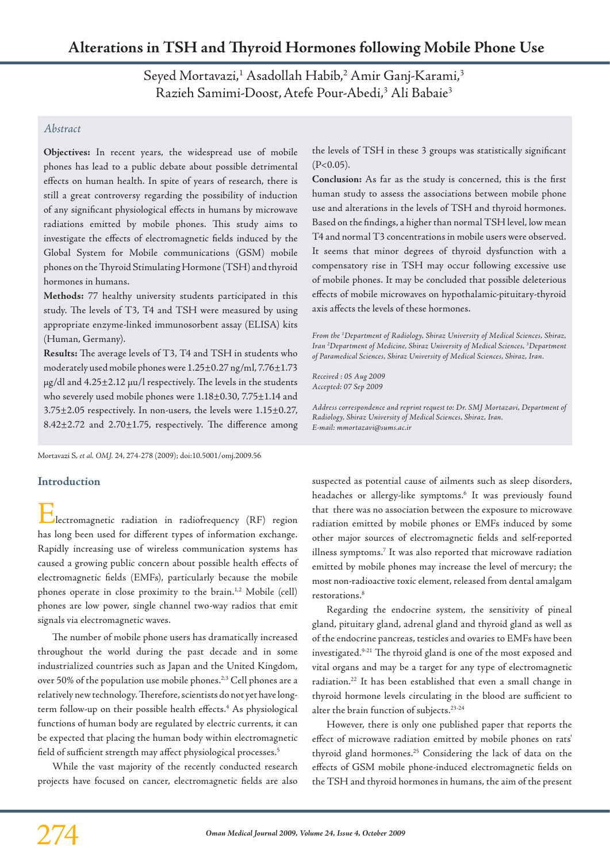Seyed Mortavazi,<sup>1</sup> Asadollah Habib,<sup>2</sup> Amir Ganj-Karami,<sup>3</sup> Razieh Samimi-Doost, Atefe Pour-Abedi,<sup>3</sup> Ali Babaie<sup>3</sup>

# *Abstract*

**Objectives:** In recent years, the widespread use of mobile phones has lead to a public debate about possible detrimental effects on human health. In spite of years of research, there is still a great controversy regarding the possibility of induction of any significant physiological effects in humans by microwave radiations emitted by mobile phones. This study aims to investigate the effects of electromagnetic fields induced by the Global System for Mobile communications (GSM) mobile phones on the Thyroid Stimulating Hormone (TSH) and thyroid hormones in humans.

**Methods:** 77 healthy university students participated in this study. The levels of T3, T4 and TSH were measured by using appropriate enzyme-linked immunosorbent assay (ELISA) kits (Human, Germany).

**Results:** The average levels of T3, T4 and TSH in students who moderately used mobile phones were 1.25±0.27 ng/ml, 7.76±1.73 µg/dl and 4.25±2.12 µu/l respectively. The levels in the students who severely used mobile phones were 1.18±0.30, 7.75±1.14 and 3.75±2.05 respectively. In non-users, the levels were 1.15±0.27, 8.42±2.72 and 2.70±1.75, respectively. The difference among

Mortavazi S*, et al. OMJ.* 24, 274-278 (2009); doi:10.5001/omj.2009.56

## **Introduction**

Electromagnetic radiation in radiofrequency (RF) region has long been used for different types of information exchange. Rapidly increasing use of wireless communication systems has caused a growing public concern about possible health effects of electromagnetic fields (EMFs), particularly because the mobile phones operate in close proximity to the brain.<sup>1,2</sup> Mobile (cell) phones are low power, single channel two-way radios that emit signals via electromagnetic waves.

The number of mobile phone users has dramatically increased throughout the world during the past decade and in some industrialized countries such as Japan and the United Kingdom, over 50% of the population use mobile phones.2,3 Cell phones are a relatively new technology. Therefore, scientists do not yet have longterm follow-up on their possible health effects.<sup>4</sup> As physiological functions of human body are regulated by electric currents, it can be expected that placing the human body within electromagnetic field of sufficient strength may affect physiological processes.<sup>5</sup>

While the vast majority of the recently conducted research projects have focused on cancer, electromagnetic fields are also the levels of TSH in these 3 groups was statistically significant  $(P<0.05)$ .

**Conclusion:** As far as the study is concerned, this is the first human study to assess the associations between mobile phone use and alterations in the levels of TSH and thyroid hormones. Based on the findings, a higher than normal TSH level, low mean T4 and normal T3 concentrations in mobile users were observed. It seems that minor degrees of thyroid dysfunction with a compensatory rise in TSH may occur following excessive use of mobile phones. It may be concluded that possible deleterious effects of mobile microwaves on hypothalamic-pituitary-thyroid axis affects the levels of these hormones.

*From the 1 Department of Radiology, Shiraz University of Medical Sciences, Shiraz, Iran 2 Department of Medicine, Shiraz University of Medical Sciences, 3 Department of Paramedical Sciences, Shiraz University of Medical Sciences, Shiraz, Iran.*

*Received : 05 Aug 2009 Accepted: 07 Sep 2009*

*Address correspondence and reprint request to: Dr. SMJ Mortazavi, Department of Radiology, Shiraz University of Medical Sciences, Shiraz, Iran. E-mail: mmortazavi@sums.ac.ir*

suspected as potential cause of ailments such as sleep disorders, headaches or allergy-like symptoms.<sup>6</sup> It was previously found that there was no association between the exposure to microwave radiation emitted by mobile phones or EMFs induced by some other major sources of electromagnetic fields and self-reported illness symptoms.7 It was also reported that microwave radiation emitted by mobile phones may increase the level of mercury; the most non-radioactive toxic element, released from dental amalgam restorations.8

Regarding the endocrine system, the sensitivity of pineal gland, pituitary gland, adrenal gland and thyroid gland as well as of the endocrine pancreas, testicles and ovaries to EMFs have been investigated.9-21 The thyroid gland is one of the most exposed and vital organs and may be a target for any type of electromagnetic radiation.22 It has been established that even a small change in thyroid hormone levels circulating in the blood are sufficient to alter the brain function of subjects.<sup>23-24</sup>

However, there is only one published paper that reports the effect of microwave radiation emitted by mobile phones on rats' thyroid gland hormones.<sup>25</sup> Considering the lack of data on the effects of GSM mobile phone-induced electromagnetic fields on the TSH and thyroid hormones in humans, the aim of the present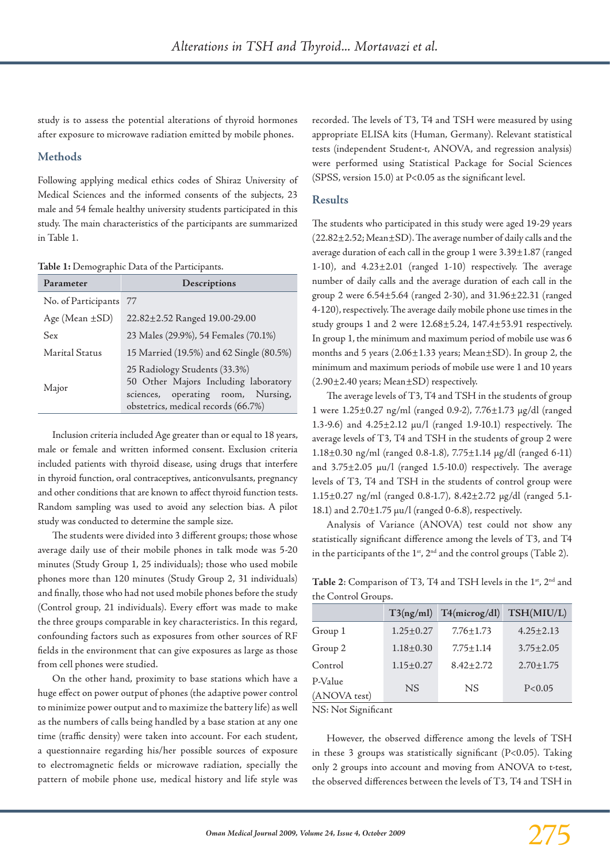study is to assess the potential alterations of thyroid hormones after exposure to microwave radiation emitted by mobile phones.

### **Methods**

Following applying medical ethics codes of Shiraz University of Medical Sciences and the informed consents of the subjects, 23 male and 54 female healthy university students participated in this study. The main characteristics of the participants are summarized in Table 1.

**Table 1:** Demographic Data of the Participants.

| Parameter           | Descriptions                                                                                                                                       |  |  |
|---------------------|----------------------------------------------------------------------------------------------------------------------------------------------------|--|--|
| No. of Participants | 77                                                                                                                                                 |  |  |
| Age (Mean $\pm$ SD) | 22.82±2.52 Ranged 19.00-29.00                                                                                                                      |  |  |
| Sex                 | 23 Males (29.9%), 54 Females (70.1%)                                                                                                               |  |  |
| Marital Status      | 15 Married (19.5%) and 62 Single (80.5%)                                                                                                           |  |  |
| Major               | 25 Radiology Students (33.3%)<br>50 Other Majors Including laboratory<br>sciences, operating room, Nursing,<br>obstetrics, medical records (66.7%) |  |  |

Inclusion criteria included Age greater than or equal to 18 years, male or female and written informed consent. Exclusion criteria included patients with thyroid disease, using drugs that interfere in thyroid function, oral contraceptives, anticonvulsants, pregnancy and other conditions that are known to affect thyroid function tests. Random sampling was used to avoid any selection bias. A pilot study was conducted to determine the sample size.

The students were divided into 3 different groups; those whose average daily use of their mobile phones in talk mode was 5-20 minutes (Study Group 1, 25 individuals); those who used mobile phones more than 120 minutes (Study Group 2, 31 individuals) and finally, those who had not used mobile phones before the study (Control group, 21 individuals). Every effort was made to make the three groups comparable in key characteristics. In this regard, confounding factors such as exposures from other sources of RF fields in the environment that can give exposures as large as those from cell phones were studied.

On the other hand, proximity to base stations which have a huge effect on power output of phones (the adaptive power control to minimize power output and to maximize the battery life) as well as the numbers of calls being handled by a base station at any one time (traffic density) were taken into account. For each student, a questionnaire regarding his/her possible sources of exposure to electromagnetic fields or microwave radiation, specially the pattern of mobile phone use, medical history and life style was

recorded. The levels of T3, T4 and TSH were measured by using appropriate ELISA kits (Human, Germany). Relevant statistical tests (independent Student-t, ANOVA, and regression analysis) were performed using Statistical Package for Social Sciences (SPSS, version 15.0) at P<0.05 as the significant level.

## **Results**

The students who participated in this study were aged 19-29 years (22.82±2.52; Mean±SD). The average number of daily calls and the average duration of each call in the group 1 were 3.39±1.87 (ranged 1-10), and  $4.23 \pm 2.01$  (ranged 1-10) respectively. The average number of daily calls and the average duration of each call in the group 2 were 6.54±5.64 (ranged 2-30), and 31.96±22.31 (ranged 4-120), respectively. The average daily mobile phone use times in the study groups 1 and 2 were 12.68±5.24, 147.4±53.91 respectively. In group 1, the minimum and maximum period of mobile use was 6 months and 5 years (2.06±1.33 years; Mean±SD). In group 2, the minimum and maximum periods of mobile use were 1 and 10 years  $(2.90\pm2.40$  years; Mean $\pm$ SD) respectively.

The average levels of T3, T4 and TSH in the students of group 1 were 1.25±0.27 ng/ml (ranged 0.9-2), 7.76±1.73 µg/dl (ranged 1.3-9.6) and 4.25±2.12 µu/l (ranged 1.9-10.1) respectively. The average levels of T3, T4 and TSH in the students of group 2 were 1.18±0.30 ng/ml (ranged 0.8-1.8), 7.75±1.14 µg/dl (ranged 6-11) and 3.75±2.05 µu/l (ranged 1.5-10.0) respectively. The average levels of T3, T4 and TSH in the students of control group were 1.15±0.27 ng/ml (ranged 0.8-1.7), 8.42±2.72 µg/dl (ranged 5.1- 18.1) and  $2.70\pm1.75$   $\mu$ u/l (ranged 0-6.8), respectively.

Analysis of Variance (ANOVA) test could not show any statistically significant difference among the levels of T3, and T4 in the participants of the  $1<sup>st</sup>$ ,  $2<sup>nd</sup>$  and the control groups (Table 2).

| $\frac{1}{2}$ |                 |                 |                 |  |
|---------------|-----------------|-----------------|-----------------|--|
|               | T3(ng/ml)       | T4(microg/dl)   | TSH(MIU/L)      |  |
| Group 1       | $1.25 \pm 0.27$ | $7.76 \pm 1.73$ | $4.25 \pm 2.13$ |  |
| Group 2       | $1.18 \pm 0.30$ | $7.75 \pm 1.14$ | $3.75 \pm 2.05$ |  |
| Control       | $1.15 \pm 0.27$ | $8.42 \pm 2.72$ | $2.70 \pm 1.75$ |  |
| P-Value       | <b>NS</b>       | <b>NS</b>       | P < 0.05        |  |
| (ANOVA test)  |                 |                 |                 |  |

Table 2: Comparison of T3, T4 and TSH levels in the 1<sup>st</sup>, 2<sup>nd</sup> and the Control Groups.

NS: Not Significant

However, the observed difference among the levels of TSH in these 3 groups was statistically significant (P<0.05). Taking only 2 groups into account and moving from ANOVA to t-test, the observed differences between the levels of T3, T4 and TSH in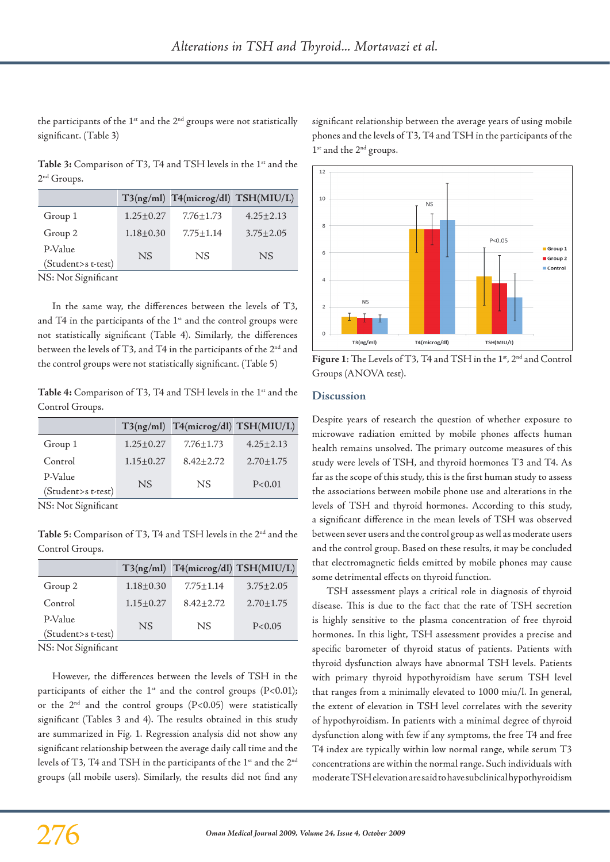the participants of the  $1^{st}$  and the  $2^{nd}$  groups were not statistically significant. (Table 3)

Table 3: Comparison of T3, T4 and TSH levels in the 1<sup>st</sup> and the 2<sup>nd</sup> Groups.

|                    |                 | T3(ng/ml) T4(microg/dl) TSH(MIU/L) |                 |
|--------------------|-----------------|------------------------------------|-----------------|
| Group 1            | $1.25 \pm 0.27$ | $7.76 \pm 1.73$                    | $4.25 \pm 2.13$ |
| Group 2            | $1.18 \pm 0.30$ | $7.75 + 1.14$                      | $3.75 \pm 2.05$ |
| P-Value            | <b>NS</b>       | NS                                 | <b>NS</b>       |
| (Student>s t-test) |                 |                                    |                 |

NS: Not Significant

In the same way, the differences between the levels of T3, and T4 in the participants of the 1<sup>st</sup> and the control groups were not statistically significant (Table 4). Similarly, the differences between the levels of T3, and T4 in the participants of the 2<sup>nd</sup> and the control groups were not statistically significant. (Table 5)

**Table 4:** Comparison of T3, T4 and TSH levels in the 1st and the Control Groups.

|                    |                 |                 | $T3(ng/ml)$ $T4(microg/dl)$ $TSH(MIU/L)$ |
|--------------------|-----------------|-----------------|------------------------------------------|
| Group 1            | $1.25 \pm 0.27$ | $7.76 \pm 1.73$ | $4.25 \pm 2.13$                          |
| Control            | $1.15 \pm 0.27$ | $8.42 \pm 2.72$ | $2.70 \pm 1.75$                          |
| P-Value            | <b>NS</b>       | <b>NS</b>       | P < 0.01                                 |
| (Student>s t-test) |                 |                 |                                          |
| $\mathbf{1}$       |                 |                 |                                          |

NS: Not Significant

**Table 5**: Comparison of T3, T4 and TSH levels in the 2nd and the Control Groups.

|                    |                 | T3(ng/ml) T4(microg/dl) TSH(MIU/L) |                 |
|--------------------|-----------------|------------------------------------|-----------------|
| Group 2            | $1.18 \pm 0.30$ | $7.75 \pm 1.14$                    | $3.75 \pm 2.05$ |
| Control            | $1.15 \pm 0.27$ | $8.42 \pm 2.72$                    | $2.70 \pm 1.75$ |
| P-Value            | <b>NS</b>       | <b>NS</b>                          | P < 0.05        |
| (Student>s t-test) |                 |                                    |                 |

NS: Not Significant

However, the differences between the levels of TSH in the participants of either the  $1^{st}$  and the control groups (P<0.01); or the  $2<sup>nd</sup>$  and the control groups (P<0.05) were statistically significant (Tables 3 and 4). The results obtained in this study are summarized in Fig. 1. Regression analysis did not show any significant relationship between the average daily call time and the levels of T3, T4 and TSH in the participants of the 1<sup>st</sup> and the 2<sup>nd</sup> groups (all mobile users). Similarly, the results did not find any significant relationship between the average years of using mobile phones and the levels of T3, T4 and TSH in the participants of the 1<sup>st</sup> and the 2<sup>nd</sup> groups.



Figure 1: The Levels of T3, T4 and TSH in the 1<sup>st</sup>, 2<sup>nd</sup> and Control Groups (ANOVA test).

#### **Discussion**

Despite years of research the question of whether exposure to microwave radiation emitted by mobile phones affects human health remains unsolved. The primary outcome measures of this study were levels of TSH, and thyroid hormones T3 and T4. As far as the scope of this study, this is the first human study to assess the associations between mobile phone use and alterations in the levels of TSH and thyroid hormones. According to this study, a significant difference in the mean levels of TSH was observed between sever users and the control group as well as moderate users and the control group. Based on these results, it may be concluded that electromagnetic fields emitted by mobile phones may cause some detrimental effects on thyroid function.

TSH assessment plays a critical role in diagnosis of thyroid disease. This is due to the fact that the rate of TSH secretion is highly sensitive to the plasma concentration of free thyroid hormones. In this light, TSH assessment provides a precise and specific barometer of thyroid status of patients. Patients with thyroid dysfunction always have abnormal TSH levels. Patients with primary thyroid hypothyroidism have serum TSH level that ranges from a minimally elevated to 1000 miu/l. In general, the extent of elevation in TSH level correlates with the severity of hypothyroidism. In patients with a minimal degree of thyroid dysfunction along with few if any symptoms, the free T4 and free T4 index are typically within low normal range, while serum T3 concentrations are within the normal range. Such individuals with moderate TSH elevation are said to have subclinical hypothyroidism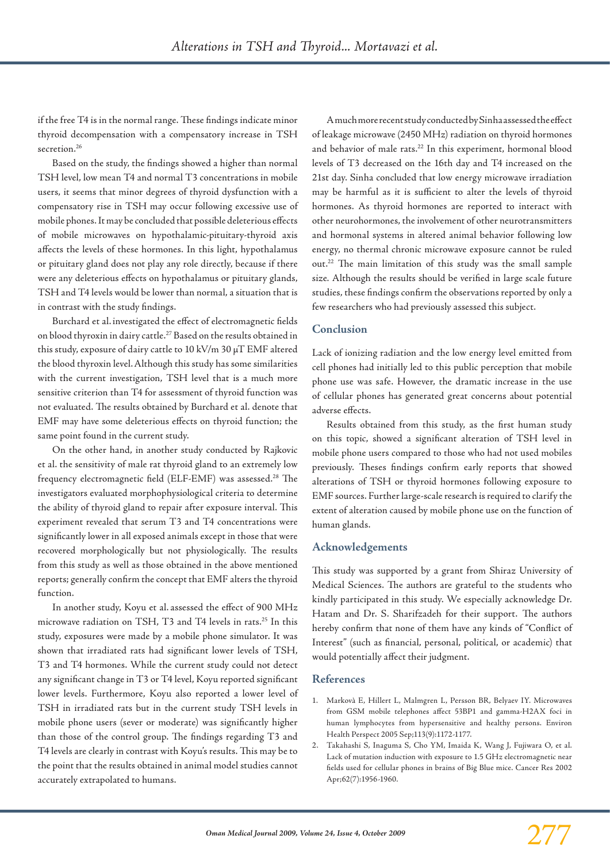if the free T4 is in the normal range. These findings indicate minor thyroid decompensation with a compensatory increase in TSH secretion.<sup>26</sup>

Based on the study, the findings showed a higher than normal TSH level, low mean T4 and normal T3 concentrations in mobile users, it seems that minor degrees of thyroid dysfunction with a compensatory rise in TSH may occur following excessive use of mobile phones. It may be concluded that possible deleterious effects of mobile microwaves on hypothalamic-pituitary-thyroid axis affects the levels of these hormones. In this light, hypothalamus or pituitary gland does not play any role directly, because if there were any deleterious effects on hypothalamus or pituitary glands, TSH and T4 levels would be lower than normal, a situation that is in contrast with the study findings.

Burchard et al. investigated the effect of electromagnetic fields on blood thyroxin in dairy cattle.27 Based on the results obtained in this study, exposure of dairy cattle to 10 kV/m 30 µT EMF altered the blood thyroxin level.Although this study has some similarities with the current investigation, TSH level that is a much more sensitive criterion than T4 for assessment of thyroid function was not evaluated. The results obtained by Burchard et al. denote that EMF may have some deleterious effects on thyroid function; the same point found in the current study.

On the other hand, in another study conducted by Rajkovic et al. the sensitivity of male rat thyroid gland to an extremely low frequency electromagnetic field (ELF-EMF) was assessed.<sup>28</sup> The investigators evaluated morphophysiological criteria to determine the ability of thyroid gland to repair after exposure interval. This experiment revealed that serum T3 and T4 concentrations were significantly lower in all exposed animals except in those that were recovered morphologically but not physiologically. The results from this study as well as those obtained in the above mentioned reports; generally confirm the concept that EMF alters the thyroid function.

In another study, Koyu et al. assessed the effect of 900 MHz microwave radiation on TSH, T3 and T4 levels in rats.25 In this study, exposures were made by a mobile phone simulator. It was shown that irradiated rats had significant lower levels of TSH, T3 and T4 hormones. While the current study could not detect any significant change in T3 or T4 level, Koyu reported significant lower levels. Furthermore, Koyu also reported a lower level of TSH in irradiated rats but in the current study TSH levels in mobile phone users (sever or moderate) was significantly higher than those of the control group. The findings regarding T3 and T4 levels are clearly in contrast with Koyu's results. This may be to the point that the results obtained in animal model studies cannot accurately extrapolated to humans.

A much more recent study conducted by Sinha assessed the effect of leakage microwave (2450 MHz) radiation on thyroid hormones and behavior of male rats.<sup>22</sup> In this experiment, hormonal blood levels of T3 decreased on the 16th day and T4 increased on the 21st day. Sinha concluded that low energy microwave irradiation may be harmful as it is sufficient to alter the levels of thyroid hormones. As thyroid hormones are reported to interact with other neurohormones, the involvement of other neurotransmitters and hormonal systems in altered animal behavior following low energy, no thermal chronic microwave exposure cannot be ruled out.22 The main limitation of this study was the small sample size*.* Although the results should be verified in large scale future studies, these findings confirm the observations reported by only a few researchers who had previously assessed this subject.

## **Conclusion**

Lack of ionizing radiation and the low energy level emitted from cell phones had initially led to this public perception that mobile phone use was safe. However, the dramatic increase in the use of cellular phones has generated great concerns about potential adverse effects.

Results obtained from this study, as the first human study on this topic, showed a significant alteration of TSH level in mobile phone users compared to those who had not used mobiles previously. Theses findings confirm early reports that showed alterations of TSH or thyroid hormones following exposure to EMF sources. Further large-scale research is required to clarify the extent of alteration caused by mobile phone use on the function of human glands.

### **Acknowledgements**

This study was supported by a grant from Shiraz University of Medical Sciences. The authors are grateful to the students who kindly participated in this study. We especially acknowledge Dr. Hatam and Dr. S. Sharifzadeh for their support. The authors hereby confirm that none of them have any kinds of "Conflict of Interest" (such as financial, personal, political, or academic) that would potentially affect their judgment.

### **References**

- 1. Markovà E, Hillert L, Malmgren L, Persson BR, Belyaev IY. Microwaves from GSM mobile telephones affect 53BP1 and gamma-H2AX foci in human lymphocytes from hypersensitive and healthy persons. Environ Health Perspect 2005 Sep;113(9):1172-1177.
- 2. Takahashi S, Inaguma S, Cho YM, Imaida K, Wang J, Fujiwara O, et al. Lack of mutation induction with exposure to 1.5 GHz electromagnetic near fields used for cellular phones in brains of Big Blue mice. Cancer Res 2002 Apr;62(7):1956-1960.